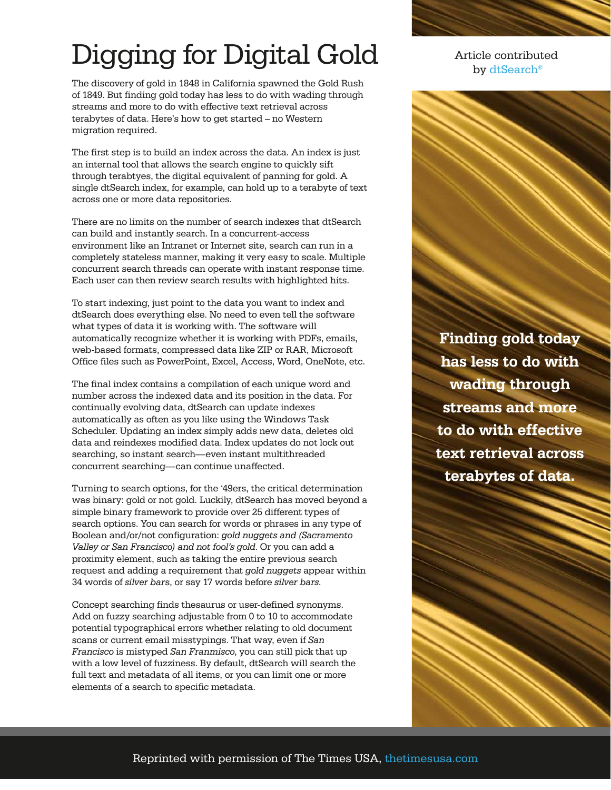## Digging for Digital Gold

The discovery of gold in 1848 in California spawned the Gold Rush of 1849. But finding gold today has less to do with wading through streams and more to do with effective text retrieval across terabytes of data. Here's how to get started – no Western migration required.

The first step is to build an index across the data. An index is just an internal tool that allows the search engine to quickly sift through terabtyes, the digital equivalent of panning for gold. A single dtSearch index, for example, can hold up to a terabyte of text across one or more data repositories.

There are no limits on the number of search indexes that dtSearch can build and instantly search. In a concurrent-access environment like an Intranet or Internet site, search can run in a completely stateless manner, making it very easy to scale. Multiple concurrent search threads can operate with instant response time. Each user can then review search results with highlighted hits.

To start indexing, just point to the data you want to index and dtSearch does everything else. No need to even tell the software what types of data it is working with. The software will automatically recognize whether it is working with PDFs, emails, web-based formats, compressed data like ZIP or RAR, Microsoft Office files such as PowerPoint, Excel, Access, Word, OneNote, etc.

The final index contains a compilation of each unique word and number across the indexed data and its position in the data. For continually evolving data, dtSearch can update indexes automatically as often as you like using the Windows Task Scheduler. Updating an index simply adds new data, deletes old data and reindexes modified data. Index updates do not lock out searching, so instant search—even instant multithreaded concurrent searching—can continue unaffected.

Turning to search options, for the '49ers, the critical determination was binary: gold or not gold. Luckily, dtSearch has moved beyond a simple binary framework to provide over 25 different types of search options. You can search for words or phrases in any type of Boolean and/or/not configuration: *gold nuggets and (Sacramento Valley or San Francisco) and not fool's gold*. Or you can add a proximity element, such as taking the entire previous search request and adding a requirement that *gold nuggets* appear within 34 words of *silver bar*s, or say 17 words before *silver bars*.

Concept searching finds thesaurus or user-defined synonyms. Add on fuzzy searching adjustable from 0 to 10 to accommodate potential typographical errors whether relating to old document scans or current email misstypings. That way, even if *San Francisco* is mistyped *San Franmisco*, you can still pick that up with a low level of fuzziness. By default, dtSearch will search the full text and metadata of all items, or you can limit one or more elements of a search to specific metadata.

Article contributed by [dtSearch®](https://www.dtsearch.com/)